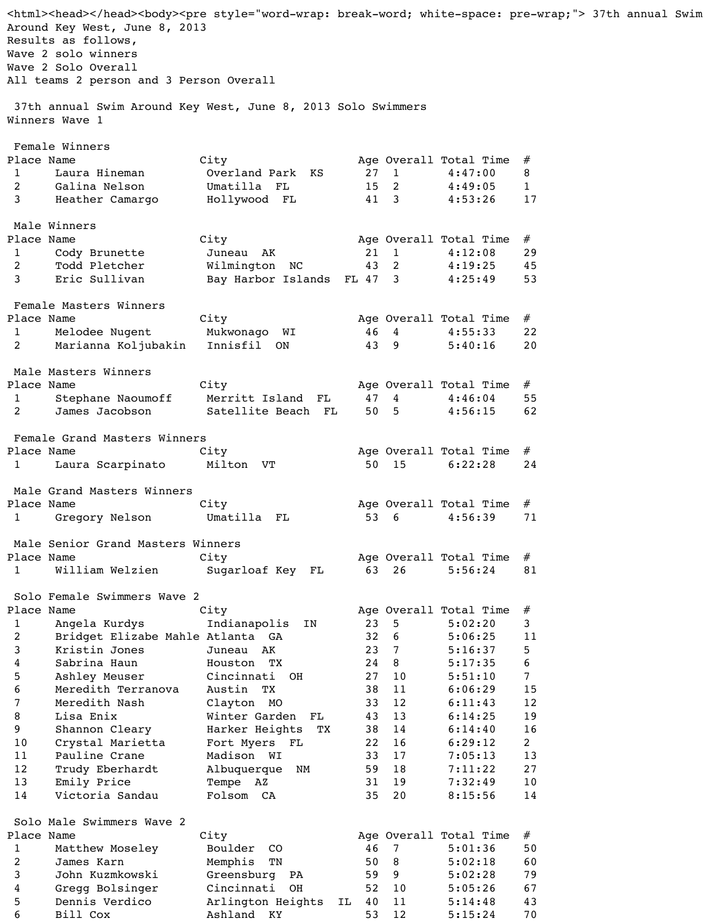<html><head></head><body><pre style="word-wrap: break-word; white-space: pre-wrap;"> 37th annual Swim Around Key West, June 8, 2013 Results as follows, Wave 2 solo winners Wave 2 Solo Overall All teams 2 person and 3 Person Overall 37th annual Swim Around Key West, June 8, 2013 Solo Swimmers Winners Wave 1 Female Winners Place Name City Age Overall Total Time # 1 Laura Hineman Overland Park KS 27 1 4:47:00 8 2 Galina Nelson Umatilla FL 15 2 4:49:05 1 3 Heather Camargo Hollywood FL 41 3 4:53:26 17 Male Winners Place Name  $City$  City and Age Overall Total Time  $#$ 1 Cody Brunette Juneau AK 21 1 4:12:08 29 2 Todd Pletcher Milmington NC 43 2 4:19:25 45 3 Eric Sullivan Bay Harbor Islands FL 47 3 4:25:49 53 Female Masters Winners Place Name  $City$  and  $City$  and  $Age$  Overall Total Time  $#$ 1 Melodee Nugent Mukwonago WI 46 4 4:55:33 22 2 Marianna Koljubakin Innisfil ON 43 9 5:40:16 20 Male Masters Winners Place Name  $City$  City and Age Overall Total Time  $#$ 1 Stephane Naoumoff Merritt Island FL 47 4 4:46:04 55 2 James Jacobson Satellite Beach FL 50 5 4:56:15 62 Female Grand Masters Winners Place Name  $City$  and  $City$  and  $Age$  Overall Total Time  $#$  1 Laura Scarpinato Milton VT 50 15 6:22:28 24 Male Grand Masters Winners Place Name  $City$  City and Age Overall Total Time  $#$ 1 Gregory Nelson Umatilla FL 53 6 4:56:39 71 Male Senior Grand Masters Winners Place Name  $City$  and  $City$  and  $Age$  Overall Total Time  $#$  1 William Welzien Sugarloaf Key FL 63 26 5:56:24 81 Solo Female Swimmers Wave 2 Place Name City Age Overall Total Time # 1 Angela Kurdys Indianapolis IN 23 5 5:02:20 3 2 Bridget Elizabe Mahle Atlanta GA 32 6 5:06:25 11 3 Kristin Jones Juneau AK 23 7 5:16:37 5 4 Sabrina Haun Houston TX 24 8 5:17:35 6 5 Ashley Meuser Cincinnati OH 27 10 5:51:10 7 6 Meredith Terranova Austin TX 38 11 6:06:29 15 7 Meredith Nash Clayton MO 33 12 6:11:43 12 8 Lisa Enix Minter Garden FL 43 13 6:14:25 19 9 Shannon Cleary Harker Heights TX 38 14 6:14:40 16 10 Crystal Marietta Fort Myers FL 22 16 6:29:12 2 11 Pauline Crane Madison WI 33 17 7:05:13 13 12 Trudy Eberhardt Albuquerque NM 59 18 7:11:22 27 13 Emily Price Tempe AZ 31 19 7:32:49 10 14 Victoria Sandau Folsom CA 35 20 8:15:56 14 Solo Male Swimmers Wave 2 Place Name  $City$  and  $City$  and  $Age$  Overall Total Time  $#$ 

1 Matthew Moseley Boulder CO 46 7 5:01:36 50 2 James Karn Memphis TN 50 8 5:02:18 60 3 John Kuzmkowski Greensburg PA 59 9 5:02:28 79 4 Gregg Bolsinger Cincinnati OH 52 10 5:05:26 67 5 Dennis Verdico Marlington Heights IL 40 11 5:14:48 43 6 Bill Cox Ashland KY 53 12 5:15:24 70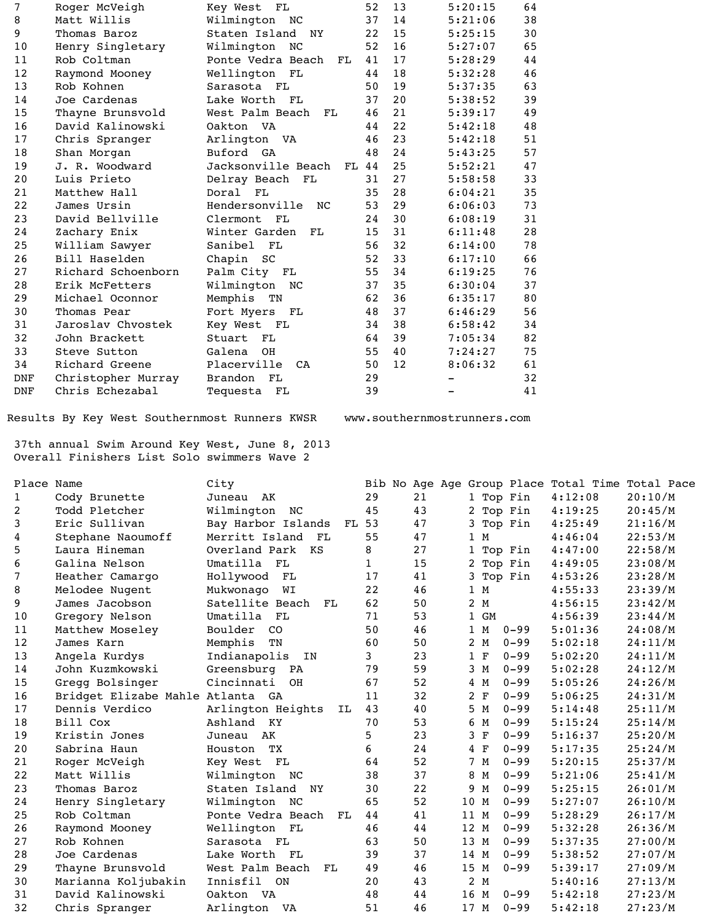| 7          | Roger McVeigh      | Key West<br>FL             | 52 | 13 | 5:20:15 | 64 |
|------------|--------------------|----------------------------|----|----|---------|----|
| 8          | Matt Willis        | Wilmington<br>NC           | 37 | 14 | 5:21:06 | 38 |
| 9          | Thomas Baroz       | Staten Island<br><b>NY</b> | 22 | 15 | 5:25:15 | 30 |
| 10         | Henry Singletary   | Wilmington<br>NC           | 52 | 16 | 5:27:07 | 65 |
| 11         | Rob Coltman        | Ponte Vedra Beach<br>FL    | 41 | 17 | 5:28:29 | 44 |
| 12         | Raymond Mooney     | Wellington<br>FL           | 44 | 18 | 5:32:28 | 46 |
| 13         | Rob Kohnen         | Sarasota<br>FL             | 50 | 19 | 5:37:35 | 63 |
| 14         | Joe Cardenas       | Lake Worth<br>FL           | 37 | 20 | 5:38:52 | 39 |
| 15         | Thayne Brunsvold   | West Palm Beach<br>FL      | 46 | 21 | 5:39:17 | 49 |
| 16         | David Kalinowski   | Oakton VA                  | 44 | 22 | 5:42:18 | 48 |
| 17         | Chris Spranger     | Arlington<br>VA            | 46 | 23 | 5:42:18 | 51 |
| 18         | Shan Morgan        | Buford<br>GA               | 48 | 24 | 5:43:25 | 57 |
| 19         | J. R. Woodward     | Jacksonville Beach<br>FL   | 44 | 25 | 5:52:21 | 47 |
| 20         | Luis Prieto        | Delray Beach<br>FL         | 31 | 27 | 5:58:58 | 33 |
| 21         | Matthew Hall       | Doral<br>FL                | 35 | 28 | 6:04:21 | 35 |
| 22         | James Ursin        | Hendersonville<br>NC       | 53 | 29 | 6:06:03 | 73 |
| 23         | David Bellville    | Clermont<br>FL             | 24 | 30 | 6:08:19 | 31 |
| 24         | Zachary Enix       | Winter Garden<br>FL        | 15 | 31 | 6:11:48 | 28 |
| 25         | William Sawyer     | Sanibel<br>FL              | 56 | 32 | 6:14:00 | 78 |
| 26         | Bill Haselden      | Chapin<br>SC               | 52 | 33 | 6:17:10 | 66 |
| 27         | Richard Schoenborn | Palm City<br>FL            | 55 | 34 | 6:19:25 | 76 |
| 28         | Erik McFetters     | Wilmington<br>NC           | 37 | 35 | 6:30:04 | 37 |
| 29         | Michael Oconnor    | Memphis<br>TN              | 62 | 36 | 6:35:17 | 80 |
| 30         | Thomas Pear        | Fort Myers<br>FL           | 48 | 37 | 6:46:29 | 56 |
| 31         | Jaroslav Chvostek  | Key West<br>FL             | 34 | 38 | 6:58:42 | 34 |
| 32         | John Brackett      | Stuart<br>FL               | 64 | 39 | 7:05:34 | 82 |
| 33         | Steve Sutton       | Galena<br><b>OH</b>        | 55 | 40 | 7:24:27 | 75 |
| 34         | Richard Greene     | Placerville<br>CA          | 50 | 12 | 8:06:32 | 61 |
| <b>DNF</b> | Christopher Murray | <b>Brandon</b><br>FL       | 29 |    |         | 32 |
| <b>DNF</b> | Chris Echezabal    | Tequesta<br>FL             | 39 |    |         | 41 |

Results By Key West Southernmost Runners KWSR www.southernmostrunners.com

 37th annual Swim Around Key West, June 8, 2013 Overall Finishers List Solo swimmers Wave 2

| Place Name   |                                  | City                       |             |    |                   |          | Bib No Age Age Group Place Total Time Total Pace |         |
|--------------|----------------------------------|----------------------------|-------------|----|-------------------|----------|--------------------------------------------------|---------|
| $\mathbf{1}$ | Cody Brunette                    | Juneau<br>AK               | 29          | 21 | 1 Top Fin         |          | 4:12:08                                          | 20:10/M |
| 2            | Todd Pletcher                    | Wilmington<br>NC           | 45          | 43 | 2 Top Fin         |          | 4:19:25                                          | 20:45/M |
| 3            | Eric Sullivan                    | Bay Harbor Islands<br>FL   | 53          | 47 | 3 Top Fin         |          | 4:25:49                                          | 21:16/M |
| 4            | Stephane Naoumoff                | Merritt Island<br>FL       | 55          | 47 | 1 M               |          | 4:46:04                                          | 22:53/M |
| 5            | Laura Hineman                    | Overland Park<br>KS        | 8           | 27 | 1 Top Fin         |          | 4:47:00                                          | 22:58/M |
| 6            | Galina Nelson                    | Umatilla<br>FL             | $\mathbf 1$ | 15 | 2 Top Fin         |          | 4:49:05                                          | 23:08/M |
| 7            | Heather Camargo                  | Hollywood<br>FL            | 17          | 41 | 3 Top Fin         |          | 4:53:26                                          | 23:28/M |
| 8            | Melodee Nugent                   | Mukwonago<br>WI            | 22          | 46 | 1 M               |          | 4:55:33                                          | 23:39/M |
| 9            | James Jacobson                   | Satellite Beach<br>FL      | 62          | 50 | 2 M               |          | 4:56:15                                          | 23:42/M |
| 10           | Gregory Nelson                   | Umatilla<br>FL             | 71          | 53 | 1 GM              |          | 4:56:39                                          | 23:44/M |
| 11           | Matthew Moseley                  | Boulder<br>CO              | 50          | 46 | 1 M               | $0 - 99$ | 5:01:36                                          | 24:08/M |
| 12           | James Karn                       | Memphis<br>TN              | 60          | 50 | 2 M               | $0 - 99$ | 5:02:18                                          | 24:11/M |
| 13           | Angela Kurdys                    | Indianapolis<br>IN         | 3           | 23 | 1 F               | $0 - 99$ | 5:02:20                                          | 24:11/M |
| 14           | John Kuzmkowski                  | Greensburg<br>PA           | 79          | 59 | 3<br>M            | $0 - 99$ | 5:02:28                                          | 24:12/M |
| 15           | Gregg Bolsinger                  | Cincinnati<br>OH           | 67          | 52 | 4 M               | $0 - 99$ | 5:05:26                                          | 24:26/M |
| 16           | Bridget Elizabe Mahle Atlanta GA |                            | 11          | 32 | 2 F               | $0 - 99$ | 5:06:25                                          | 24:31/M |
| 17           | Dennis Verdico                   | Arlington Heights<br>IL    | 43          | 40 | 5 M               | $0 - 99$ | 5:14:48                                          | 25:11/M |
| 18           | Bill Cox                         | Ashland KY                 | 70          | 53 | 6 M               | $0 - 99$ | 5:15:24                                          | 25:14/M |
| 19           | Kristin Jones                    | AK<br>Juneau               | 5           | 23 | $\mathbf{F}$<br>3 | $0 - 99$ | 5:16:37                                          | 25:20/M |
| 20           | Sabrina Haun                     | TX<br>Houston              | 6           | 24 | $4$ F             | $0 - 99$ | 5:17:35                                          | 25:24/M |
| 21           | Roger McVeigh                    | FL<br>Key West             | 64          | 52 | 7 M               | $0 - 99$ | 5:20:15                                          | 25:37/M |
| 22           | Matt Willis                      | Wilmington NC              | 38          | 37 | 8 M               | $0 - 99$ | 5:21:06                                          | 25:41/M |
| 23           | Thomas Baroz                     | Staten Island<br><b>NY</b> | 30          | 22 | 9.<br>M           | $0 - 99$ | 5:25:15                                          | 26:01/M |
| 24           | Henry Singletary                 | Wilmington NC              | 65          | 52 | 10<br>M           | $0 - 99$ | 5:27:07                                          | 26:10/M |
| 25           | Rob Coltman                      | Ponte Vedra Beach<br>FL    | 44          | 41 | 11<br>M           | $0 - 99$ | 5:28:29                                          | 26:17/M |
| 26           | Raymond Mooney                   | Wellington FL              | 46          | 44 | 12 M              | $0 - 99$ | 5:32:28                                          | 26:36/M |
| 27           | Rob Kohnen                       | Sarasota FL                | 63          | 50 | 13 M              | $0 - 99$ | 5:37:35                                          | 27:00/M |
| 28           | Joe Cardenas                     | Lake Worth FL              | 39          | 37 | 14<br>M           | $0 - 99$ | 5:38:52                                          | 27:07/M |
| 29           | Thayne Brunsvold                 | West Palm Beach<br>FL      | 49          | 46 | 15 M              | $0 - 99$ | 5:39:17                                          | 27:09/M |
| 30           | Marianna Koljubakin              | Innisfil<br>ON             | 20          | 43 | 2 M               |          | 5:40:16                                          | 27:13/M |
| 31           | David Kalinowski                 | <b>VA</b><br>Oakton        | 48          | 44 | 16 M              | $0 - 99$ | 5:42:18                                          | 27:23/M |
| 32           | Chris Spranger                   | Arlington<br>VA            | 51          | 46 | 17<br>M           | $0 - 99$ | 5:42:18                                          | 27:23/M |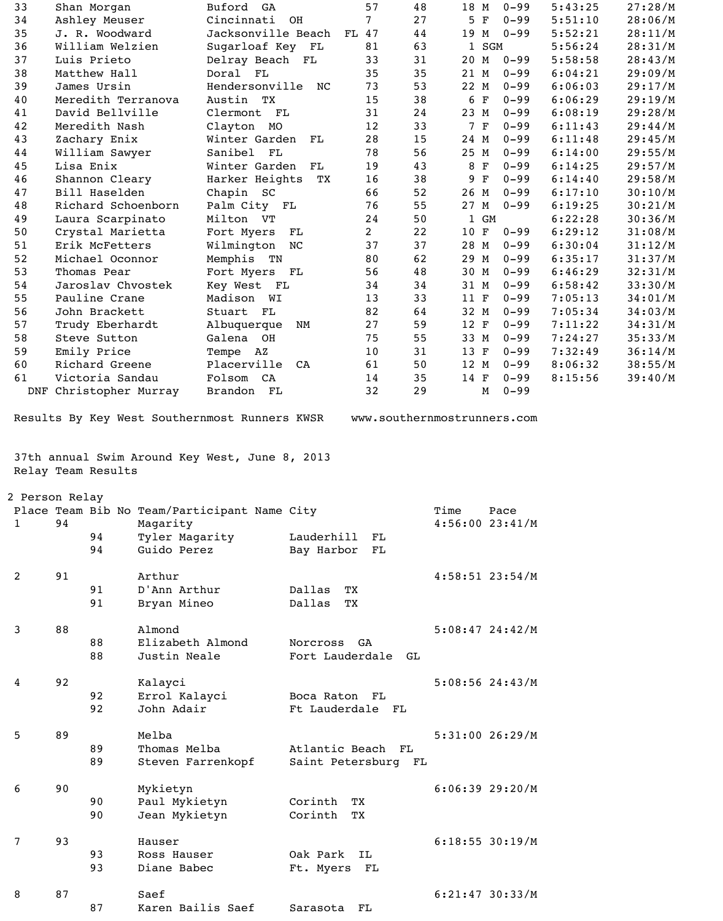| 33                                            |                | Shan Morgan        |                        | Buford GA                                      |                | 57                  | 48 | 18 M                | $0 - 99$ | 5:43:25 | 27:28/M |
|-----------------------------------------------|----------------|--------------------|------------------------|------------------------------------------------|----------------|---------------------|----|---------------------|----------|---------|---------|
| 34                                            |                | Ashley Meuser      |                        | Cincinnati                                     | OH             | $\overline{7}$      | 27 | 5 F                 | $0 - 99$ | 5:51:10 | 28:06/M |
| 35                                            |                | J. R. Woodward     |                        | Jacksonville Beach                             |                | 47<br>FL            | 44 | 19 M                | $0 - 99$ | 5:52:21 | 28:11/M |
| 36                                            |                | William Welzien    |                        | Sugarloaf Key FL                               |                | 81                  | 63 | SGM<br>$\mathbf{1}$ |          | 5:56:24 | 28:31/M |
| 37                                            |                | Luis Prieto        |                        | Delray Beach FL                                |                | 33                  | 31 | 20 M                | $0 - 99$ | 5:58:58 | 28:43/M |
|                                               |                |                    |                        |                                                |                |                     |    |                     |          |         |         |
| 38                                            |                | Matthew Hall       |                        | Doral FL                                       |                | 35                  | 35 | 21 M                | $0 - 99$ | 6:04:21 | 29:09/M |
| 39                                            |                | James Ursin        |                        | Hendersonville                                 | NC             | 73                  | 53 | 22 M                | $0 - 99$ | 6:06:03 | 29:17/M |
| 40                                            |                |                    | Meredith Terranova     | Austin TX                                      |                | 15                  | 38 | $\mathbf F$<br>6    | $0 - 99$ | 6:06:29 | 29:19/M |
| 41                                            |                | David Bellville    |                        | Clermont<br>FL                                 |                | 31                  | 24 | 23 M                | $0 - 99$ | 6:08:19 | 29:28/M |
| 42                                            |                | Meredith Nash      |                        | Clayton<br>MO                                  |                | 12                  | 33 | 7 F                 | $0 - 99$ | 6:11:43 | 29:44/M |
| 43                                            |                | Zachary Enix       |                        | Winter Garden                                  | FL             | 28                  | 15 | 24 M                | $0 - 99$ | 6:11:48 | 29:45/M |
| 44                                            |                | William Sawyer     |                        | Sanibel<br>- FL                                |                | 78                  | 56 | 25 M                | $0 - 99$ | 6:14:00 | 29:55/M |
| 45                                            |                | Lisa Enix          |                        | Winter Garden                                  | FL             | 19                  | 43 | 8 F                 | $0 - 99$ | 6:14:25 | 29:57/M |
|                                               |                |                    |                        |                                                |                |                     |    |                     |          |         |         |
| 46                                            |                | Shannon Cleary     |                        | Harker Heights                                 | ТX             | 16                  | 38 | $\mathbf F$<br>9    | $0 - 99$ | 6:14:40 | 29:58/M |
| 47                                            |                | Bill Haselden      |                        | Chapin SC                                      |                | 66                  | 52 | 26 M                | $0 - 99$ | 6:17:10 | 30:10/M |
| 48                                            |                |                    | Richard Schoenborn     | Palm City FL                                   |                | 76                  | 55 | 27<br>M             | $0 - 99$ | 6:19:25 | 30:21/M |
| 49                                            |                | Laura Scarpinato   |                        | Milton VT                                      |                | 24                  | 50 | 1 GM                |          | 6:22:28 | 30:36/M |
| 50                                            |                | Crystal Marietta   |                        | Fort Myers                                     | FL             | $\overline{2}$      | 22 | 10 F                | $0 - 99$ | 6:29:12 | 31:08/M |
| 51                                            |                | Erik McFetters     |                        | Wilmington                                     | NC             | 37                  | 37 | 28 M                | $0 - 99$ | 6:30:04 | 31:12/M |
| 52                                            |                | Michael Oconnor    |                        | Memphis TN                                     |                | 80                  | 62 | 29 M                | $0 - 99$ | 6:35:17 | 31:37/M |
| 53                                            |                |                    |                        |                                                |                |                     |    |                     |          |         |         |
|                                               |                | Thomas Pear        |                        | Fort Myers                                     | FL             | 56                  | 48 | 30 M                | $0 - 99$ | 6:46:29 | 32:31/M |
| 54                                            |                | Jaroslav Chvostek  |                        | Key West<br>FL                                 |                | 34                  | 34 | 31 M                | $0 - 99$ | 6:58:42 | 33:30/M |
| 55                                            |                | Pauline Crane      |                        | Madison<br>WI                                  |                | 13                  | 33 | 11 F                | $0 - 99$ | 7:05:13 | 34:01/M |
| 56                                            |                | John Brackett      |                        | Stuart<br>FL                                   |                | 82                  | 64 | 32 M                | $0 - 99$ | 7:05:34 | 34:03/M |
| 57                                            |                | Trudy Eberhardt    |                        | Albuquerque                                    | NΜ             | 27                  | 59 | 12 F                | $0 - 99$ | 7:11:22 | 34:31/M |
| 58                                            |                | Steve Sutton       |                        | Galena OH                                      |                | 75                  | 55 | 33 M                | $0 - 99$ | 7:24:27 | 35:33/M |
| 59                                            |                | Emily Price        |                        | Tempe AZ                                       |                | 10                  | 31 | 13<br>$\mathbf F$   | $0 - 99$ | 7:32:49 | 36:14/M |
|                                               |                |                    |                        |                                                |                |                     |    |                     |          |         |         |
| 60                                            |                | Richard Greene     |                        | Placerville                                    | CA             | 61                  | 50 | 12 M                | $0 - 99$ | 8:06:32 | 38:55/M |
| 61                                            |                | Victoria Sandau    |                        | Folsom<br>CA                                   |                | 14                  | 35 | 14 F                | $0 - 99$ | 8:15:56 | 39:40/M |
|                                               |                |                    | DNF Christopher Murray | Brandon FL                                     |                | 32                  | 29 | М                   | $0 - 99$ |         |         |
| Results By Key West Southernmost Runners KWSR |                |                    |                        |                                                |                |                     |    |                     |          |         |         |
|                                               |                | Relay Team Results |                        | 37th annual Swim Around Key West, June 8, 2013 |                |                     |    |                     |          |         |         |
|                                               | 2 Person Relay |                    |                        |                                                |                |                     |    |                     |          |         |         |
|                                               |                |                    |                        | Place Team Bib No Team/Participant Name City   |                |                     |    | Time                | Pace     |         |         |
| $\mathbf{1}$                                  | 94             |                    | Magarity               |                                                |                |                     |    | $4:56:00$ 23:41/M   |          |         |         |
|                                               |                | 94                 | Tyler Magarity         |                                                | Lauderhill     | - FL                |    |                     |          |         |         |
|                                               |                | 94                 | Guido Perez            |                                                | Bay Harbor     | FL                  |    |                     |          |         |         |
|                                               |                |                    |                        |                                                |                |                     |    |                     |          |         |         |
|                                               |                |                    |                        |                                                |                |                     |    |                     |          |         |         |
| 2                                             | 91             |                    | Arthur                 |                                                |                |                     |    | $4:58:51$ 23:54/M   |          |         |         |
|                                               |                | 91                 | D'Ann Arthur           |                                                | Dallas         | TX                  |    |                     |          |         |         |
|                                               |                | 91                 | Bryan Mineo            |                                                | Dallas         | ТX                  |    |                     |          |         |         |
|                                               |                |                    |                        |                                                |                |                     |    |                     |          |         |         |
| 3                                             | 88             |                    | Almond                 |                                                |                |                     |    | $5:08:47$ 24:42/M   |          |         |         |
|                                               |                | 88                 | Elizabeth Almond       |                                                | Norcross GA    |                     |    |                     |          |         |         |
|                                               |                | 88                 | Justin Neale           |                                                |                | Fort Lauderdale     | GL |                     |          |         |         |
|                                               |                |                    |                        |                                                |                |                     |    |                     |          |         |         |
| 4                                             |                |                    |                        |                                                |                |                     |    |                     |          |         |         |
|                                               | 92             |                    | Kalayci                |                                                |                |                     |    | $5:08:56$ 24:43/M   |          |         |         |
|                                               |                | 92                 | Errol Kalayci          |                                                | Boca Raton FL  |                     |    |                     |          |         |         |
|                                               |                | 92                 | John Adair             |                                                | Ft Lauderdale  | - FL                |    |                     |          |         |         |
|                                               |                |                    |                        |                                                |                |                     |    |                     |          |         |         |
| 5                                             | 89             |                    | Melba                  |                                                |                |                     |    | 5:31:0026:29/M      |          |         |         |
|                                               |                | 89                 | Thomas Melba           |                                                | Atlantic Beach |                     | FL |                     |          |         |         |
|                                               |                | 89                 | Steven Farrenkopf      |                                                |                | Saint Petersburg FL |    |                     |          |         |         |
|                                               |                |                    |                        |                                                |                |                     |    |                     |          |         |         |
|                                               |                |                    |                        |                                                |                |                     |    |                     |          |         |         |
| 6                                             | 90             |                    | Mykietyn               |                                                |                |                     |    | $6:06:39$ 29:20/M   |          |         |         |
|                                               |                | 90                 | Paul Mykietyn          |                                                | Corinth        | ТX                  |    |                     |          |         |         |
|                                               |                | 90                 | Jean Mykietyn          |                                                | Corinth        | ТX                  |    |                     |          |         |         |
|                                               |                |                    |                        |                                                |                |                     |    |                     |          |         |         |
| 7                                             | 93             |                    | Hauser                 |                                                |                |                     |    | $6:18:55$ 30:19/M   |          |         |         |
|                                               |                | 93                 | Ross Hauser            |                                                | Oak Park       | IL                  |    |                     |          |         |         |
|                                               |                | 93                 | Diane Babec            |                                                | Ft. Myers      | $\mathbf{FL}$       |    |                     |          |         |         |
|                                               |                |                    |                        |                                                |                |                     |    |                     |          |         |         |
| 8                                             | 87             |                    | Saef                   |                                                |                |                     |    | $6:21:47$ 30:33/M   |          |         |         |
|                                               |                | 87                 | Karen Bailis Saef      |                                                | Sarasota       | FL                  |    |                     |          |         |         |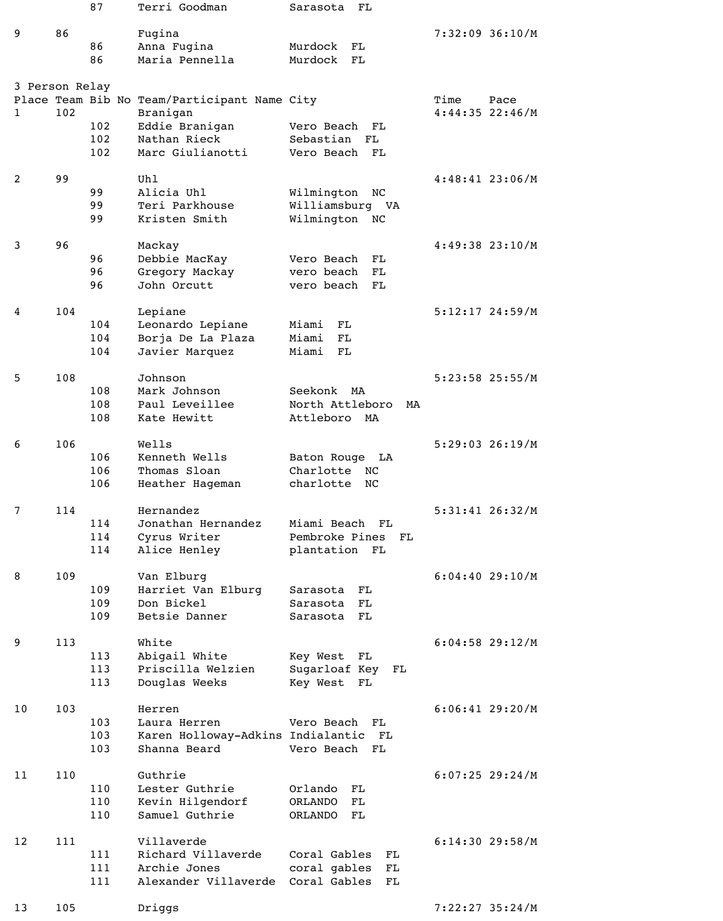|                |     | 87         | Terri Goodman                                            | Sarasota<br>FL                            |                                   |
|----------------|-----|------------|----------------------------------------------------------|-------------------------------------------|-----------------------------------|
| 9              | 86  |            | Fugina                                                   |                                           | $7:32:09$ 36:10/M                 |
|                |     | 86         | Anna Fugina                                              | Murdock<br>FL                             |                                   |
|                |     | 86         | Maria Pennella                                           | Murdock<br>FL                             |                                   |
|                |     |            |                                                          |                                           |                                   |
| 3 Person Relay |     |            |                                                          |                                           |                                   |
| 1              | 102 |            | Place Team Bib No Team/Participant Name City<br>Branigan |                                           | Time<br>Pace<br>$4:44:35$ 22:46/M |
|                |     | 102        | Eddie Branigan                                           | Vero Beach<br>FL                          |                                   |
|                |     | 102        | Nathan Rieck                                             | Sebastian<br>FL                           |                                   |
|                |     | 102        | Marc Giulianotti                                         | Vero Beach<br>FL                          |                                   |
| 2              | 99  |            | Uhl                                                      |                                           | $4:48:41$ 23:06/M                 |
|                |     | 99         | Alicia Uhl                                               | Wilmington<br>NC                          |                                   |
|                |     | 99         | Teri Parkhouse                                           | Williamsburg VA                           |                                   |
|                |     | 99         | Kristen Smith                                            | Wilmington<br>NC                          |                                   |
|                |     |            |                                                          |                                           |                                   |
| 3              | 96  | 96         | Mackay<br>Debbie MacKay                                  | Vero Beach<br>FL                          | $4:49:38$ 23:10/M                 |
|                |     | 96         | Gregory Mackay                                           | vero beach<br>FL                          |                                   |
|                |     | 96         | John Orcutt                                              | vero beach<br>FL                          |                                   |
|                |     |            |                                                          |                                           |                                   |
| 4              | 104 |            | Lepiane                                                  |                                           | $5:12:17$ 24:59/M                 |
|                |     | 104<br>104 | Leonardo Lepiane<br>Borja De La Plaza                    | Miami<br>FL<br>Miami<br>FL                |                                   |
|                |     | 104        | Javier Marquez                                           | Miami<br>FL                               |                                   |
|                |     |            |                                                          |                                           |                                   |
| 5              | 108 |            | Johnson                                                  |                                           | 5:23:58 25:55/M                   |
|                |     | 108<br>108 | Mark Johnson<br>Paul Leveillee                           | Seekonk<br>MA                             |                                   |
|                |     | 108        | Kate Hewitt                                              | North Attleboro<br>MA<br>Attleboro<br>MA  |                                   |
|                |     |            |                                                          |                                           |                                   |
| 6              | 106 |            | Wells                                                    |                                           | $5:29:03$ 26:19/M                 |
|                |     | 106        | Kenneth Wells                                            | Baton Rouge LA                            |                                   |
|                |     | 106<br>106 | Thomas Sloan                                             | Charlotte<br>NC<br>charlotte<br><b>NC</b> |                                   |
|                |     |            | Heather Hageman                                          |                                           |                                   |
| 7              | 114 |            | Hernandez                                                |                                           | 5:31:41 26:32/M                   |
|                |     | 114        | Jonathan Hernandez                                       | Miami Beach<br>FL                         |                                   |
|                |     | 114        | Cyrus Writer                                             | Pembroke Pines<br>FL                      |                                   |
|                |     | 114        | Alice Henley                                             | plantation FL                             |                                   |
| 8              | 109 |            | Van Elburg                                               |                                           | $6:04:40$ 29:10/M                 |
|                |     | 109        | Harriet Van Elburg                                       | Sarasota<br>FL                            |                                   |
|                |     | 109        | Don Bickel                                               | Sarasota<br>FL                            |                                   |
|                |     | 109        | Betsie Danner                                            | Sarasota<br>FL                            |                                   |
| 9              | 113 |            | White                                                    |                                           | $6:04:58$ 29:12/M                 |
|                |     | 113        | Abigail White                                            | Key West<br>FL                            |                                   |
|                |     | 113        | Priscilla Welzien                                        | Sugarloaf Key<br>FL                       |                                   |
|                |     | 113        | Douglas Weeks                                            | Key West<br>FL                            |                                   |
| 10             | 103 |            | Herren                                                   |                                           | $6:06:41$ 29:20/M                 |
|                |     | 103        | Laura Herren                                             | Vero Beach<br>FL                          |                                   |
|                |     | 103        | Karen Holloway-Adkins Indialantic FL                     |                                           |                                   |
|                |     | 103        | Shanna Beard                                             | Vero Beach<br>FL                          |                                   |
| 11             | 110 |            | Guthrie                                                  |                                           | $6:07:25$ 29:24/M                 |
|                |     | 110        | Lester Guthrie                                           | Orlando<br>FL                             |                                   |
|                |     | 110        | Kevin Hilgendorf                                         | <b>ORLANDO</b><br>FL                      |                                   |
|                |     | 110        | Samuel Guthrie                                           | <b>ORLANDO</b><br>FL                      |                                   |
|                |     |            |                                                          |                                           |                                   |
| 12             | 111 | 111        | Villaverde<br>Richard Villaverde                         | Coral Gables<br>FL                        | $6:14:30$ 29:58/M                 |
|                |     | 111        | Archie Jones                                             | coral gables<br>FL                        |                                   |
|                |     | 111        | Alexander Villaverde                                     | Coral Gables<br>FL                        |                                   |
|                |     |            |                                                          |                                           |                                   |
| 13             | 105 |            | Driggs                                                   |                                           | 7:22:27 35:24/M                   |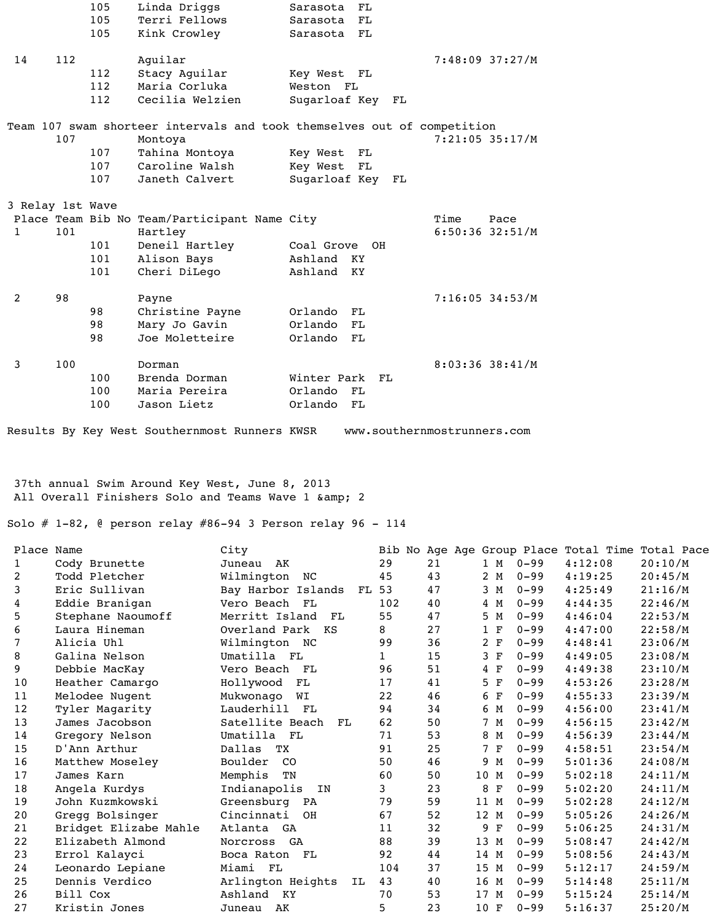|                |                  | 105 | Linda Driggs                                                            | Sarasota         | FL        |    |                           |      |
|----------------|------------------|-----|-------------------------------------------------------------------------|------------------|-----------|----|---------------------------|------|
|                |                  | 105 | Terri Fellows                                                           | Sarasota         | FL        |    |                           |      |
|                |                  | 105 | Kink Crowley                                                            | Sarasota         | FL        |    |                           |      |
|                |                  |     |                                                                         |                  |           |    |                           |      |
| 14             | 112              |     | Aquilar                                                                 |                  |           |    | $7:48:09$ 37:27/M         |      |
|                |                  | 112 | Stacy Aquilar                                                           | Key West         | FL        |    |                           |      |
|                |                  | 112 | Maria Corluka                                                           | Weston FL        |           |    |                           |      |
|                |                  | 112 | Cecilia Welzien                                                         | Sugarloaf Key FL |           |    |                           |      |
|                |                  |     | Team 107 swam shorteer intervals and took themselves out of competition |                  |           |    |                           |      |
|                | 107              |     | Montoya                                                                 |                  |           |    | $7:21:05$ 35:17/M         |      |
|                |                  | 107 | Tahina Montoya                                                          | Key West         | FL        |    |                           |      |
|                |                  | 107 | Caroline Walsh                                                          | Key West         | FL        |    |                           |      |
|                |                  | 107 | Janeth Calvert                                                          | Sugarloaf Key    |           | FL |                           |      |
|                |                  |     |                                                                         |                  |           |    |                           |      |
|                | 3 Relay 1st Wave |     |                                                                         |                  |           |    |                           |      |
| $\mathbf{1}$   | 101              |     | Place Team Bib No Team/Participant Name City<br>Hartley                 |                  |           |    | Time<br>$6:50:36$ 32:51/M | Pace |
|                |                  | 101 | Deneil Hartley                                                          | Coal Grove       | <b>OH</b> |    |                           |      |
|                |                  | 101 | Alison Bays                                                             | Ashland          | <b>KY</b> |    |                           |      |
|                |                  | 101 | Cheri DiLego                                                            | Ashland          | KY        |    |                           |      |
|                |                  |     |                                                                         |                  |           |    |                           |      |
| $\overline{2}$ | 98               |     | Payne                                                                   |                  |           |    | $7:16:05$ 34:53/M         |      |
|                |                  | 98  | Christine Payne                                                         | Orlando          | FL        |    |                           |      |
|                |                  | 98  | Mary Jo Gavin                                                           | Orlando          | FL        |    |                           |      |
|                |                  | 98  | Joe Moletteire                                                          | Orlando          | FL        |    |                           |      |
| 3              | 100              |     | Dorman                                                                  |                  |           |    | 8:03:36 38:41/M           |      |
|                |                  | 100 | Brenda Dorman                                                           | Winter Park      | FL        |    |                           |      |
|                |                  | 100 | Maria Pereira                                                           | Orlando          | FL        |    |                           |      |
|                |                  | 100 | Jason Lietz                                                             | Orlando          | FL        |    |                           |      |
|                |                  |     |                                                                         |                  |           |    |                           |      |

Results By Key West Southernmost Runners KWSR www.southernmostrunners.com

 37th annual Swim Around Key West, June 8, 2013 All Overall Finishers Solo and Teams Wave 1 & amp; 2

Solo # 1-82, @ person relay #86-94 3 Person relay 96 - 114

| Place Name     |                       | City                    |             |    |                   |          | Bib No Age Age Group Place Total Time Total Pace |         |
|----------------|-----------------------|-------------------------|-------------|----|-------------------|----------|--------------------------------------------------|---------|
| 1              | Cody Brunette         | Juneau AK               | 29          | 21 | 1 M               | $0 - 99$ | 4:12:08                                          | 20:10/M |
| $\overline{2}$ | Todd Pletcher         | Wilmington<br>NC        | 45          | 43 | 2 M               | $0 - 99$ | 4:19:25                                          | 20:45/M |
| 3              | Eric Sullivan         | Bay Harbor Islands      | FL 53       | 47 | 3 M               | $0 - 99$ | 4:25:49                                          | 21:16/M |
| 4              | Eddie Branigan        | Vero Beach FL           | 102         | 40 | 4 M               | $0 - 99$ | 4:44:35                                          | 22:46/M |
| 5              | Stephane Naoumoff     | Merritt Island<br>FL    | 55          | 47 | 5 M               | $0 - 99$ | 4:46:04                                          | 22:53/M |
| 6              | Laura Hineman         | Overland Park<br>KS     | 8           | 27 | 1 F               | $0 - 99$ | 4:47:00                                          | 22:58/M |
| 7              | Alicia Uhl            | Wilmington NC           | 99          | 36 | 2 F               | $0 - 99$ | 4:48:41                                          | 23:06/M |
| 8              | Galina Nelson         | Umatilla<br>FL          | $\mathbf 1$ | 15 | 3 F               | $0 - 99$ | 4:49:05                                          | 23:08/M |
| 9              | Debbie MacKay         | Vero Beach FL           | 96          | 51 | $4$ F             | $0 - 99$ | 4:49:38                                          | 23:10/M |
| 10             | Heather Camargo       | Hollywood<br>FL         | 17          | 41 | 5 F               | $0 - 99$ | 4:53:26                                          | 23:28/M |
| 11             | Melodee Nugent        | Mukwonago<br>WI         | 22          | 46 | 6 F               | $0 - 99$ | 4:55:33                                          | 23:39/M |
| 12             | Tyler Magarity        | Lauderhill FL           | 94          | 34 | 6 M               | $0 - 99$ | 4:56:00                                          | 23:41/M |
| 13             | James Jacobson        | Satellite Beach<br>FL   | 62          | 50 | 7 M               | $0 - 99$ | 4:56:15                                          | 23:42/M |
| 14             | Gregory Nelson        | Umatilla FL             | 71          | 53 | 8 M               | $0 - 99$ | 4:56:39                                          | 23:44/M |
| 15             | D'Ann Arthur          | Dallas<br>TX            | 91          | 25 | 7 F               | $0 - 99$ | 4:58:51                                          | 23:54/M |
| 16             | Matthew Moseley       | Boulder<br>CO           | 50          | 46 | 9 M               | $0 - 99$ | 5:01:36                                          | 24:08/M |
| 17             | James Karn            | Memphis<br>TN           | 60          | 50 | 10 M              | $0 - 99$ | 5:02:18                                          | 24:11/M |
| 18             | Angela Kurdys         | Indianapolis<br>IN      | 3           | 23 | 8<br>$\mathbf{F}$ | $0 - 99$ | 5:02:20                                          | 24:11/M |
| 19             | John Kuzmkowski       | Greensburg PA           | 79          | 59 | 11 M              | $0 - 99$ | 5:02:28                                          | 24:12/M |
| 20             | Gregg Bolsinger       | Cincinnati<br>OH        | 67          | 52 | 12 M              | $0 - 99$ | 5:05:26                                          | 24:26/M |
| 21             | Bridget Elizabe Mahle | Atlanta GA              | 11          | 32 | 9<br>$\mathbf{F}$ | $0 - 99$ | 5:06:25                                          | 24:31/M |
| 22             | Elizabeth Almond      | GA<br>Norcross          | 88          | 39 | 13 M              | $0 - 99$ | 5:08:47                                          | 24:42/M |
| 23             | Errol Kalayci         | Boca Raton<br>FL        | 92          | 44 | 14 M              | $0 - 99$ | 5:08:56                                          | 24:43/M |
| 24             | Leonardo Lepiane      | Miami FL                | 104         | 37 | 15 M              | $0 - 99$ | 5:12:17                                          | 24:59/M |
| 25             | Dennis Verdico        | Arlington Heights<br>IL | 43          | 40 | 16 M              | $0 - 99$ | 5:14:48                                          | 25:11/M |
| 26             | Bill Cox              | Ashland<br>KY           | 70          | 53 | 17 M              | $0 - 99$ | 5:15:24                                          | 25:14/M |
| 27             | Kristin Jones         | Juneau AK               | 5           | 23 | 10 F              | $0 - 99$ | 5:16:37                                          | 25:20/M |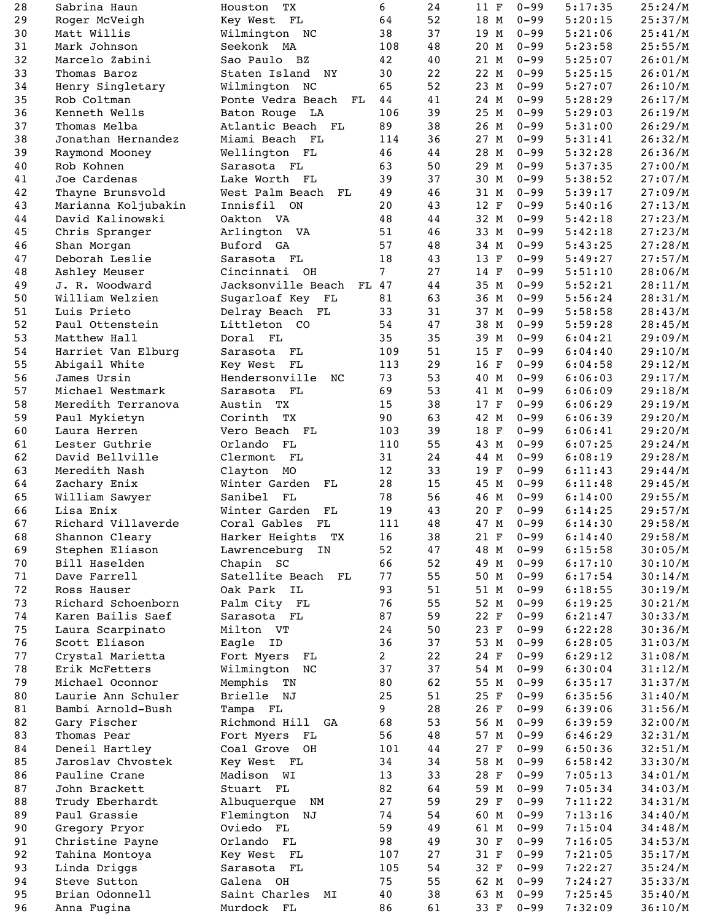| 28 | Sabrina Haun        | ТX<br>Houston                    | 6              | 24 | 11<br>$\mathbf F$  | $0 - 99$ | 5:17:35 | 25:24/M |
|----|---------------------|----------------------------------|----------------|----|--------------------|----------|---------|---------|
| 29 | Roger McVeigh       | Key West<br>FL                   | 64             | 52 | 18 M               | $0 - 99$ | 5:20:15 | 25:37/M |
| 30 | Matt Willis         | Wilmington NC                    | 38             | 37 | 19<br>M            | $0 - 99$ | 5:21:06 | 25:41/M |
| 31 | Mark Johnson        | Seekonk MA                       | 108            | 48 | 20 M               | $0 - 99$ | 5:23:58 | 25:55/M |
| 32 | Marcelo Zabini      | Sao Paulo BZ                     | 42             | 40 | 21 M               | $0 - 99$ | 5:25:07 | 26:01/M |
|    |                     |                                  |                |    |                    |          |         |         |
| 33 | Thomas Baroz        | Staten Island<br>NY              | 30             | 22 | 22 M               | $0 - 99$ | 5:25:15 | 26:01/M |
| 34 | Henry Singletary    | Wilmington NC                    | 65             | 52 | 23<br>M            | $0 - 99$ | 5:27:07 | 26:10/M |
| 35 | Rob Coltman         | Ponte Vedra Beach<br>${\bf FL}$  | 44             | 41 | 24 M               | $0 - 99$ | 5:28:29 | 26:17/M |
| 36 | Kenneth Wells       | Baton Rouge LA                   | 106            | 39 | 25<br>M            | $0 - 99$ | 5:29:03 | 26:19/M |
| 37 | Thomas Melba        | Atlantic Beach FL                | 89             | 38 | 26 M               | $0 - 99$ | 5:31:00 | 26:29/M |
| 38 | Jonathan Hernandez  | Miami Beach<br>FL                | 114            | 36 | 27<br>M            | $0 - 99$ | 5:31:41 | 26:32/M |
|    |                     |                                  | 46             |    |                    | $0 - 99$ | 5:32:28 |         |
| 39 | Raymond Mooney      | Wellington FL                    |                | 44 | 28 M               |          |         | 26:36/M |
| 40 | Rob Kohnen          | Sarasota FL                      | 63             | 50 | 29<br>M            | $0 - 99$ | 5:37:35 | 27:00/M |
| 41 | Joe Cardenas        | Lake Worth FL                    | 39             | 37 | 30 M               | $0 - 99$ | 5:38:52 | 27:07/M |
| 42 | Thayne Brunsvold    | West Palm Beach<br>$\mathbf{FL}$ | 49             | 46 | 31 M               | $0 - 99$ | 5:39:17 | 27:09/M |
| 43 | Marianna Koljubakin | Innisfil ON                      | 20             | 43 | 12 F               | $0 - 99$ | 5:40:16 | 27:13/M |
| 44 | David Kalinowski    | Oakton VA                        | 48             | 44 | 32 M               | $0 - 99$ | 5:42:18 | 27:23/M |
|    |                     |                                  |                |    |                    | $0 - 99$ |         |         |
| 45 | Chris Spranger      | Arlington VA                     | 51             | 46 | 33 M               |          | 5:42:18 | 27:23/M |
| 46 | Shan Morgan         | Buford GA                        | 57             | 48 | 34<br>M            | $0 - 99$ | 5:43:25 | 27:28/M |
| 47 | Deborah Leslie      | Sarasota<br>FL                   | 18             | 43 | 13 F               | $0 - 99$ | 5:49:27 | 27:57/M |
| 48 | Ashley Meuser       | Cincinnati OH                    | 7 <sup>1</sup> | 27 | 14<br>$\mathbf F$  | $0 - 99$ | 5:51:10 | 28:06/M |
| 49 | J. R. Woodward      | Jacksonville Beach<br>FL 47      |                | 44 | 35 M               | $0 - 99$ | 5:52:21 | 28:11/M |
| 50 | William Welzien     | Sugarloaf Key<br>${\bf FL}$      | 81             | 63 | 36<br>M            | $0 - 99$ | 5:56:24 | 28:31/M |
|    |                     |                                  |                |    |                    |          |         |         |
| 51 | Luis Prieto         | Delray Beach FL                  | 33             | 31 | 37 M               | $0 - 99$ | 5:58:58 | 28:43/M |
| 52 | Paul Ottenstein     | Littleton CO                     | 54             | 47 | 38<br>M            | $0 - 99$ | 5:59:28 | 28:45/M |
| 53 | Matthew Hall        | Doral FL                         | 35             | 35 | 39 M               | $0 - 99$ | 6:04:21 | 29:09/M |
| 54 | Harriet Van Elburg  | $\mathbf{FL}$<br>Sarasota        | 109            | 51 | 15<br>$\mathbf F$  | $0 - 99$ | 6:04:40 | 29:10/M |
| 55 | Abigail White       | Key West<br>FL                   | 113            | 29 | 16 F               | $0 - 99$ | 6:04:58 | 29:12/M |
| 56 | James Ursin         | Hendersonville                   | 73             | 53 | 40                 | $0 - 99$ |         |         |
|    |                     | NC                               |                |    | M                  |          | 6:06:03 | 29:17/M |
| 57 | Michael Westmark    | Sarasota<br>${\bf FL}$           | 69             | 53 | 41 M               | $0 - 99$ | 6:06:09 | 29:18/M |
| 58 | Meredith Terranova  | Austin<br>ТX                     | 15             | 38 | 17<br>$\mathbf F$  | $0 - 99$ | 6:06:29 | 29:19/M |
| 59 | Paul Mykietyn       | Corinth<br>TX                    | 90             | 63 | 42 M               | $0 - 99$ | 6:06:39 | 29:20/M |
| 60 | Laura Herren        | Vero Beach FL                    | 103            | 39 | 18<br>$\mathbf{F}$ | $0 - 99$ | 6:06:41 | 29:20/M |
| 61 | Lester Guthrie      | Orlando<br>FL                    | 110            | 55 | 43 M               | $0 - 99$ | 6:07:25 | 29:24/M |
|    | David Bellville     |                                  |                |    |                    |          |         |         |
| 62 |                     | Clermont<br>FL                   | 31             | 24 | 44 M               | $0 - 99$ | 6:08:19 | 29:28/M |
| 63 | Meredith Nash       | Clayton MO                       | 12             | 33 | 19 F               | $0 - 99$ | 6:11:43 | 29:44/M |
| 64 | Zachary Enix        | Winter Garden<br>${\rm FL}$      | 28             | 15 | 45<br>M            | $0 - 99$ | 6:11:48 | 29:45/M |
| 65 | William Sawyer      | Sanibel<br>FL                    | 78             | 56 | 46 M               | $0 - 99$ | 6:14:00 | 29:55/M |
| 66 | Lisa Enix           | Winter Garden<br>${\rm FL}$      | 19             | 43 | 20 F               | $0 - 99$ | 6:14:25 | 29:57/M |
| 67 | Richard Villaverde  | Coral Gables<br>FL               | 111            | 48 | 47 M               | $0 - 99$ | 6:14:30 | 29:58/M |
| 68 | Shannon Cleary      | Harker Heights<br>TX             | 16             | 38 | 21 F               | $0 - 99$ | 6:14:40 | 29:58/M |
|    |                     |                                  |                |    |                    |          |         |         |
| 69 | Stephen Eliason     | Lawrenceburg<br>IN               | 52             | 47 | 48 M               | $0 - 99$ | 6:15:58 | 30:05/M |
| 70 | Bill Haselden       | Chapin SC                        | 66             | 52 | 49<br>M            | $0 - 99$ | 6:17:10 | 30:10/M |
| 71 | Dave Farrell        | Satellite Beach<br>$\mathbf{FL}$ | 77             | 55 | 50 M               | $0 - 99$ | 6:17:54 | 30:14/M |
| 72 | Ross Hauser         | IL<br>Oak Park                   | 93             | 51 | 51 M               | $0 - 99$ | 6:18:55 | 30:19/M |
| 73 | Richard Schoenborn  | Palm City FL                     | 76             | 55 | 52 M               | $0 - 99$ | 6:19:25 | 30:21/M |
| 74 | Karen Bailis Saef   | Sarasota FL                      | 87             | 59 | 22 F               | $0 - 99$ | 6:21:47 | 30:33/M |
|    |                     |                                  |                |    |                    |          |         |         |
| 75 | Laura Scarpinato    | Milton VT                        | 24             | 50 | 23 F               | $0 - 99$ | 6:22:28 | 30:36/M |
| 76 | Scott Eliason       | Eagle<br>ID                      | 36             | 37 | 53 M               | $0 - 99$ | 6:28:05 | 31:03/M |
| 77 | Crystal Marietta    | Fort Myers<br>FL                 | $\overline{2}$ | 22 | 24 F               | $0 - 99$ | 6:29:12 | 31:08/M |
| 78 | Erik McFetters      | Wilmington<br>NC                 | 37             | 37 | 54 M               | $0 - 99$ | 6:30:04 | 31:12/M |
| 79 | Michael Oconnor     | Memphis<br>TN                    | 80             | 62 | 55 M               | $0 - 99$ | 6:35:17 | 31:37/M |
| 80 | Laurie Ann Schuler  | <b>Brielle</b><br>NJ             | 25             | 51 | 25<br>$\mathbf{F}$ | $0 - 99$ | 6:35:56 | 31:40/M |
|    |                     |                                  |                |    |                    |          |         |         |
| 81 | Bambi Arnold-Bush   | Tampa FL                         | 9              | 28 | 26 F               | $0 - 99$ | 6:39:06 | 31:56/M |
| 82 | Gary Fischer        | Richmond Hill<br>GA              | 68             | 53 | 56 M               | $0 - 99$ | 6:39:59 | 32:00/M |
| 83 | Thomas Pear         | Fort Myers<br>FL                 | 56             | 48 | 57 M               | $0 - 99$ | 6:46:29 | 32:31/M |
| 84 | Deneil Hartley      | Coal Grove<br>OH                 | 101            | 44 | 27<br>$\mathbf{F}$ | $0 - 99$ | 6:50:36 | 32:51/M |
| 85 | Jaroslav Chvostek   | Key West<br>$\mathbf{FL}$        | 34             | 34 | 58 M               | $0 - 99$ | 6:58:42 | 33:30/M |
|    |                     |                                  |                |    |                    |          |         |         |
| 86 | Pauline Crane       | Madison<br>WI                    | 13             | 33 | 28<br>$\mathbf F$  | $0 - 99$ | 7:05:13 | 34:01/M |
| 87 | John Brackett       | Stuart<br>${\bf FL}$             | 82             | 64 | 59 M               | $0 - 99$ | 7:05:34 | 34:03/M |
| 88 | Trudy Eberhardt     | Albuquerque<br>NM                | 27             | 59 | 29 F               | $0 - 99$ | 7:11:22 | 34:31/M |
| 89 | Paul Grassie        | Flemington NJ                    | 74             | 54 | 60 M               | $0 - 99$ | 7:13:16 | 34:40/M |
| 90 | Gregory Pryor       | Oviedo FL                        | 59             | 49 | 61 M               | $0 - 99$ | 7:15:04 | 34:48/M |
| 91 | Christine Payne     | Orlando FL                       | 98             | 49 | 30 F               | $0 - 99$ | 7:16:05 | 34:53/M |
|    |                     |                                  |                |    |                    |          |         |         |
| 92 | Tahina Montoya      | Key West FL                      | 107            | 27 | 31 F               | $0 - 99$ | 7:21:05 | 35:17/M |
| 93 | Linda Driggs        | Sarasota FL                      | 105            | 54 | 32 F               | $0 - 99$ | 7:22:27 | 35:24/M |
| 94 | Steve Sutton        | Galena OH                        | 75             | 55 | 62 M               | $0 - 99$ | 7:24:27 | 35:33/M |
| 95 | Brian Odonnell      | Saint Charles<br>MΙ              | 40             | 38 | 63 M               | $0 - 99$ | 7:25:45 | 35:40/M |
| 96 | Anna Fugina         | Murdock FL                       | 86             | 61 | 33 F               | $0 - 99$ | 7:32:09 | 36:10/M |
|    |                     |                                  |                |    |                    |          |         |         |